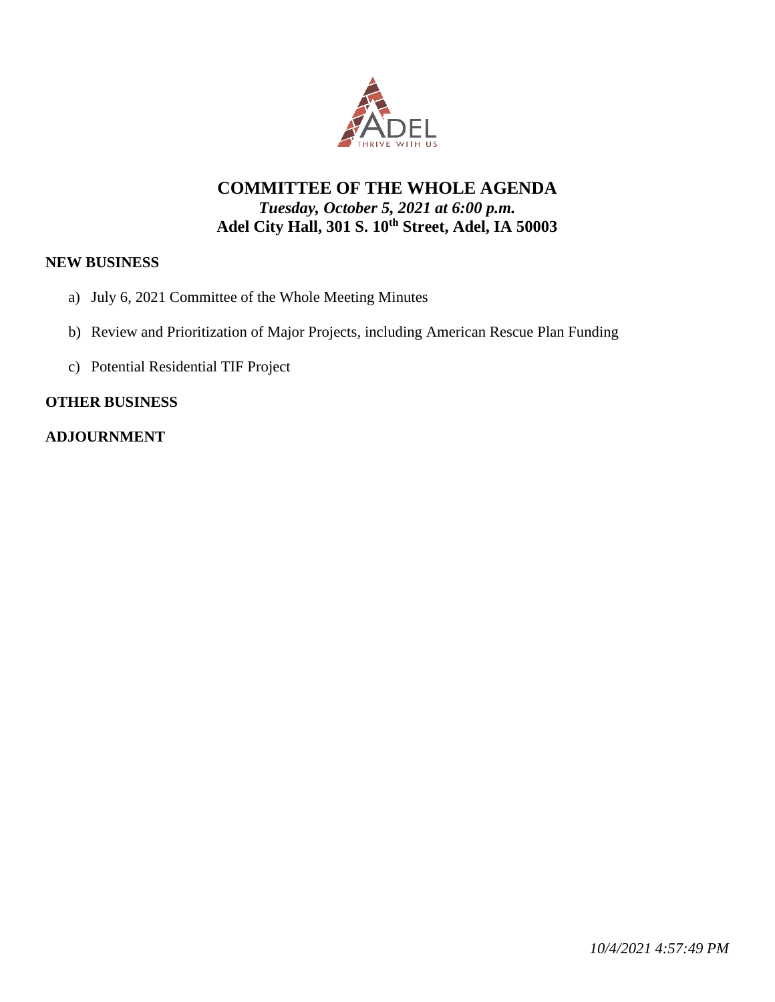

## **COMMITTEE OF THE WHOLE AGENDA** *Tuesday, October 5, 2021 at 6:00 p.m.* **Adel City Hall, 301 S. 10th Street, Adel, IA 50003**

#### **NEW BUSINESS**

- a) July 6, 2021 Committee of the Whole Meeting Minutes
- b) Review and Prioritization of Major Projects, including American Rescue Plan Funding
- c) Potential Residential TIF Project

#### **OTHER BUSINESS**

#### **ADJOURNMENT**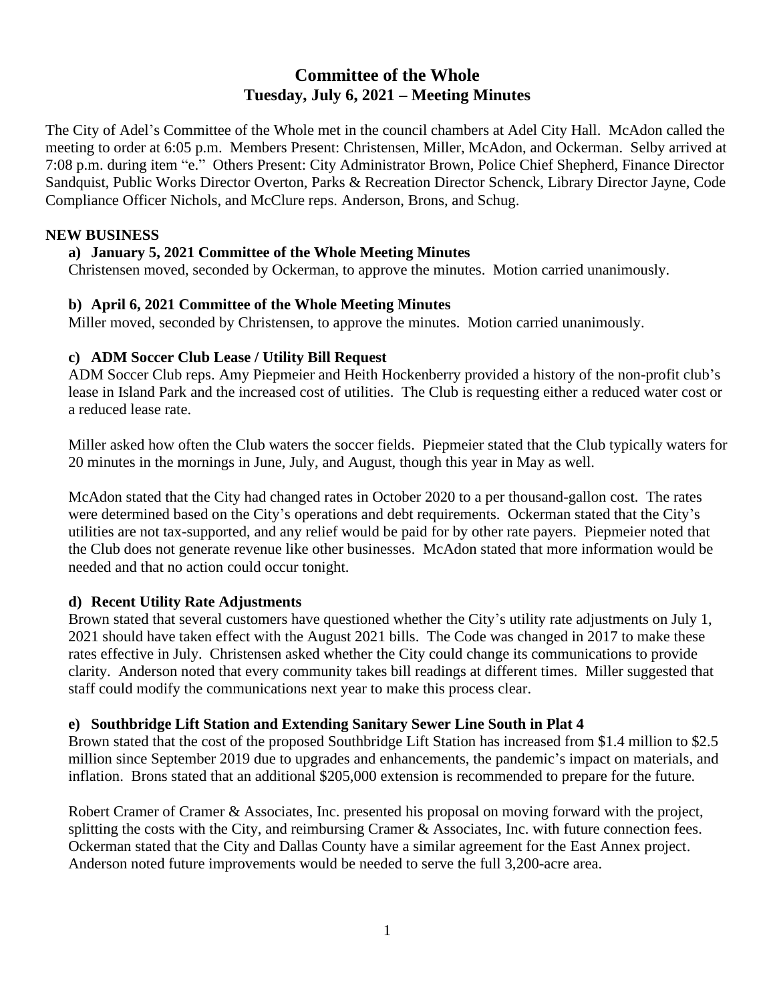# **Committee of the Whole Tuesday, July 6, 2021 – Meeting Minutes**

The City of Adel's Committee of the Whole met in the council chambers at Adel City Hall. McAdon called the meeting to order at 6:05 p.m. Members Present: Christensen, Miller, McAdon, and Ockerman. Selby arrived at 7:08 p.m. during item "e." Others Present: City Administrator Brown, Police Chief Shepherd, Finance Director Sandquist, Public Works Director Overton, Parks & Recreation Director Schenck, Library Director Jayne, Code Compliance Officer Nichols, and McClure reps. Anderson, Brons, and Schug.

#### **NEW BUSINESS**

#### **a) January 5, 2021 Committee of the Whole Meeting Minutes**

Christensen moved, seconded by Ockerman, to approve the minutes. Motion carried unanimously.

#### **b) April 6, 2021 Committee of the Whole Meeting Minutes**

Miller moved, seconded by Christensen, to approve the minutes. Motion carried unanimously.

#### **c) ADM Soccer Club Lease / Utility Bill Request**

ADM Soccer Club reps. Amy Piepmeier and Heith Hockenberry provided a history of the non-profit club's lease in Island Park and the increased cost of utilities. The Club is requesting either a reduced water cost or a reduced lease rate.

Miller asked how often the Club waters the soccer fields. Piepmeier stated that the Club typically waters for 20 minutes in the mornings in June, July, and August, though this year in May as well.

McAdon stated that the City had changed rates in October 2020 to a per thousand-gallon cost. The rates were determined based on the City's operations and debt requirements. Ockerman stated that the City's utilities are not tax-supported, and any relief would be paid for by other rate payers. Piepmeier noted that the Club does not generate revenue like other businesses. McAdon stated that more information would be needed and that no action could occur tonight.

#### **d) Recent Utility Rate Adjustments**

Brown stated that several customers have questioned whether the City's utility rate adjustments on July 1, 2021 should have taken effect with the August 2021 bills. The Code was changed in 2017 to make these rates effective in July. Christensen asked whether the City could change its communications to provide clarity. Anderson noted that every community takes bill readings at different times. Miller suggested that staff could modify the communications next year to make this process clear.

#### **e) Southbridge Lift Station and Extending Sanitary Sewer Line South in Plat 4**

Brown stated that the cost of the proposed Southbridge Lift Station has increased from \$1.4 million to \$2.5 million since September 2019 due to upgrades and enhancements, the pandemic's impact on materials, and inflation. Brons stated that an additional \$205,000 extension is recommended to prepare for the future.

Robert Cramer of Cramer & Associates, Inc. presented his proposal on moving forward with the project, splitting the costs with the City, and reimbursing Cramer & Associates, Inc. with future connection fees. Ockerman stated that the City and Dallas County have a similar agreement for the East Annex project. Anderson noted future improvements would be needed to serve the full 3,200-acre area.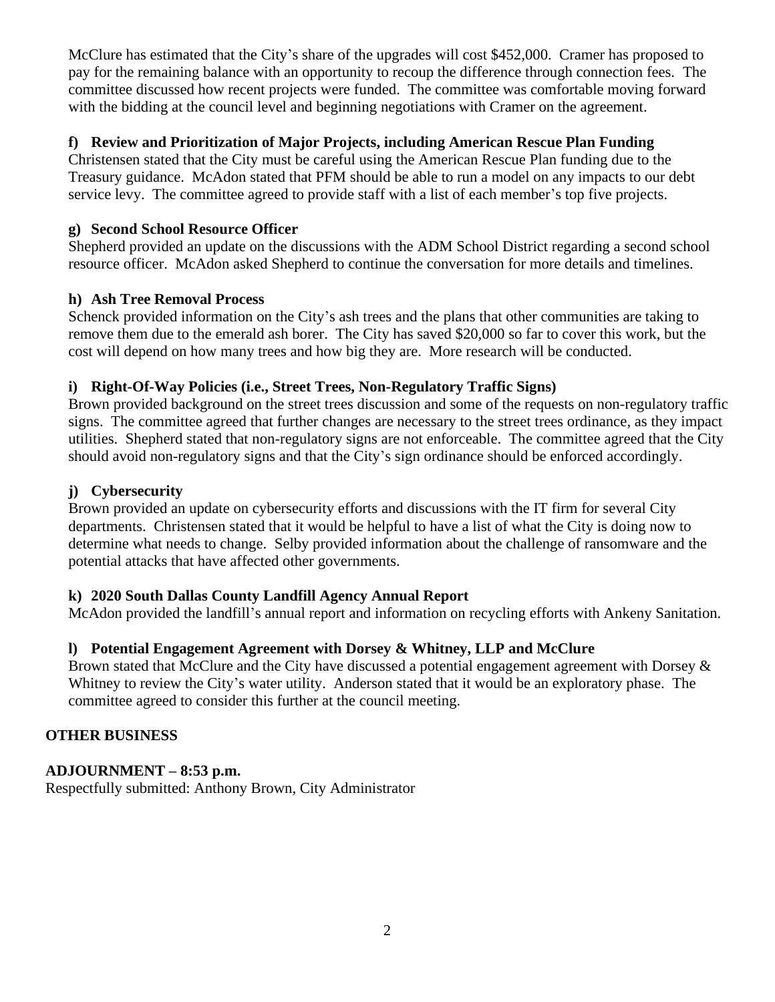McClure has estimated that the City's share of the upgrades will cost \$452,000. Cramer has proposed to pay for the remaining balance with an opportunity to recoup the difference through connection fees. The committee discussed how recent projects were funded. The committee was comfortable moving forward with the bidding at the council level and beginning negotiations with Cramer on the agreement.

#### **f) Review and Prioritization of Major Projects, including American Rescue Plan Funding**

Christensen stated that the City must be careful using the American Rescue Plan funding due to the Treasury guidance. McAdon stated that PFM should be able to run a model on any impacts to our debt service levy. The committee agreed to provide staff with a list of each member's top five projects.

#### **g) Second School Resource Officer**

Shepherd provided an update on the discussions with the ADM School District regarding a second school resource officer. McAdon asked Shepherd to continue the conversation for more details and timelines.

#### **h) Ash Tree Removal Process**

Schenck provided information on the City's ash trees and the plans that other communities are taking to remove them due to the emerald ash borer. The City has saved \$20,000 so far to cover this work, but the cost will depend on how many trees and how big they are. More research will be conducted.

#### **i) Right-Of-Way Policies (i.e., Street Trees, Non-Regulatory Traffic Signs)**

Brown provided background on the street trees discussion and some of the requests on non-regulatory traffic signs. The committee agreed that further changes are necessary to the street trees ordinance, as they impact utilities. Shepherd stated that non-regulatory signs are not enforceable. The committee agreed that the City should avoid non-regulatory signs and that the City's sign ordinance should be enforced accordingly.

#### **j) Cybersecurity**

Brown provided an update on cybersecurity efforts and discussions with the IT firm for several City departments. Christensen stated that it would be helpful to have a list of what the City is doing now to determine what needs to change. Selby provided information about the challenge of ransomware and the potential attacks that have affected other governments.

### **k) 2020 South Dallas County Landfill Agency Annual Report**

McAdon provided the landfill's annual report and information on recycling efforts with Ankeny Sanitation.

### **l) Potential Engagement Agreement with Dorsey & Whitney, LLP and McClure**

Brown stated that McClure and the City have discussed a potential engagement agreement with Dorsey & Whitney to review the City's water utility. Anderson stated that it would be an exploratory phase. The committee agreed to consider this further at the council meeting.

#### **OTHER BUSINESS**

### **ADJOURNMENT – 8:53 p.m.**

Respectfully submitted: Anthony Brown, City Administrator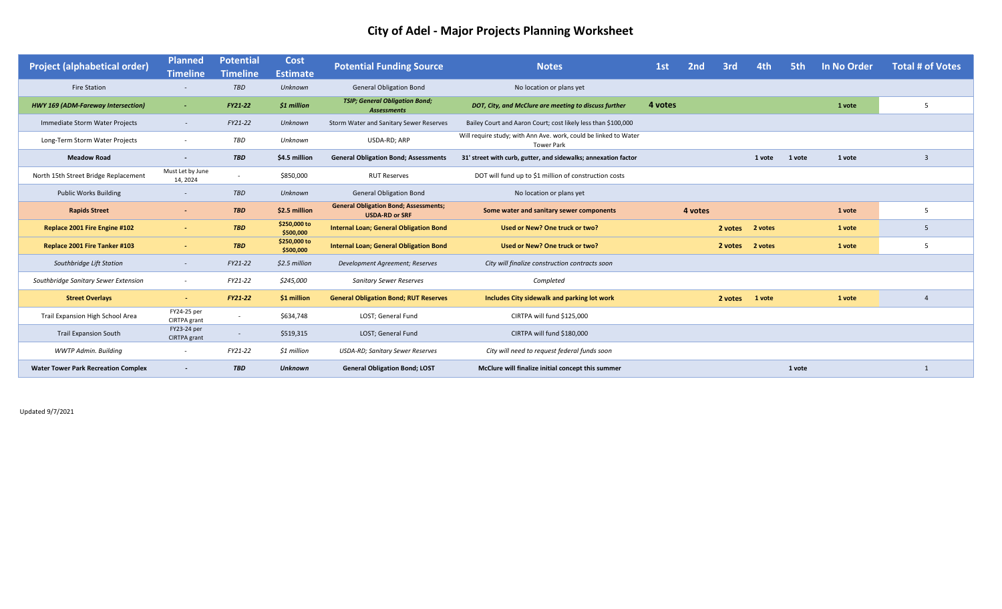# **City of Adel - Major Projects Planning Worksheet**

| <b>Project (alphabetical order)</b>        | <b>Planned</b><br><b>Timeline</b> | <b>Potential</b><br><b>Timeline</b> | Cost<br><b>Estimate</b>   | <b>Potential Funding Source</b>                                       | <b>Notes</b>                                                                          | 1st<br>2 <sub>nd</sub> |  | 3rd     | 4th             | 5th    | In No Order | <b>Total # of Votes</b> |
|--------------------------------------------|-----------------------------------|-------------------------------------|---------------------------|-----------------------------------------------------------------------|---------------------------------------------------------------------------------------|------------------------|--|---------|-----------------|--------|-------------|-------------------------|
| <b>Fire Station</b>                        |                                   | <b>TBD</b>                          | Unknown                   | <b>General Obligation Bond</b>                                        | No location or plans yet                                                              |                        |  |         |                 |        |             |                         |
| <b>HWY 169 (ADM-Fareway Intersection)</b>  | $\sim$                            | <b>FY21-22</b>                      | \$1 million               | <b>TSIP; General Obligation Bond;</b><br>Assessments                  | DOT, City, and McClure are meeting to discuss further                                 | 4 votes                |  |         |                 |        | 1 vote      | -5                      |
| Immediate Storm Water Projects             | $\sim$                            | FY21-22                             | Unknown                   | Storm Water and Sanitary Sewer Reserves                               | Bailey Court and Aaron Court; cost likely less than \$100,000                         |                        |  |         |                 |        |             |                         |
| Long-Term Storm Water Projects             | $\overline{\phantom{a}}$          | TBD                                 | Unknown                   | USDA-RD; ARP                                                          | Will require study; with Ann Ave. work, could be linked to Water<br><b>Tower Park</b> |                        |  |         |                 |        |             |                         |
| <b>Meadow Road</b>                         | $\overline{\phantom{a}}$          | <b>TBD</b>                          | \$4.5 million             | <b>General Obligation Bond; Assessments</b>                           | 31' street with curb, gutter, and sidewalks; annexation factor                        |                        |  |         |                 | 1 vote | 1 vote      | $\overline{3}$          |
| North 15th Street Bridge Replacement       | Must Let by June<br>14, 2024      |                                     | \$850,000                 | <b>RUT Reserves</b>                                                   | DOT will fund up to \$1 million of construction costs                                 |                        |  |         |                 |        |             |                         |
| <b>Public Works Building</b>               | $\overline{\phantom{a}}$          | <b>TBD</b>                          | Unknown                   | <b>General Obligation Bond</b>                                        | No location or plans yet                                                              |                        |  |         |                 |        |             |                         |
| <b>Rapids Street</b>                       | $\sim$                            | <b>TBD</b>                          | \$2.5 million             | <b>General Obligation Bond; Assessments;</b><br><b>USDA-RD or SRF</b> | Some water and sanitary sewer components                                              | 4 votes                |  |         |                 |        | 1 vote      | -5                      |
| Replace 2001 Fire Engine #102              | $\sim$                            | <b>TBD</b>                          | \$250,000 to<br>\$500,000 | <b>Internal Loan; General Obligation Bond</b>                         | Used or New? One truck or two?                                                        |                        |  |         | 2 votes 2 votes |        | 1 vote      | -5                      |
| Replace 2001 Fire Tanker #103              | $\overline{\phantom{a}}$          | <b>TBD</b>                          | \$250,000 to<br>\$500,000 | <b>Internal Loan; General Obligation Bond</b>                         | Used or New? One truck or two?                                                        | 2 votes                |  |         | 2 votes         |        | 1 vote      | -5                      |
| Southbridge Lift Station                   | $\sim$                            | FY21-22                             | \$2.5 million             | Development Agreement; Reserves                                       | City will finalize construction contracts soon                                        |                        |  |         |                 |        |             |                         |
| Southbridge Sanitary Sewer Extension       | $\sim$                            | FY21-22                             | \$245,000                 | <b>Sanitary Sewer Reserves</b>                                        | Completed                                                                             |                        |  |         |                 |        |             |                         |
| <b>Street Overlays</b>                     | $\blacksquare$                    | <b>FY21-22</b>                      | \$1 million               | <b>General Obligation Bond; RUT Reserves</b>                          | Includes City sidewalk and parking lot work                                           |                        |  | 2 votes | 1 vote          |        | 1 vote      |                         |
| Trail Expansion High School Area           | FY24-25 per<br>CIRTPA grant       |                                     | \$634,748                 | LOST; General Fund                                                    | CIRTPA will fund \$125,000                                                            |                        |  |         |                 |        |             |                         |
| <b>Trail Expansion South</b>               | FY23-24 per<br>CIRTPA grant       |                                     | \$519,315                 | LOST; General Fund                                                    | CIRTPA will fund \$180,000                                                            |                        |  |         |                 |        |             |                         |
| WWTP Admin. Building                       | $\overline{\phantom{a}}$          | FY21-22                             | \$1 million               | <b>USDA-RD; Sanitary Sewer Reserves</b>                               | City will need to request federal funds soon                                          |                        |  |         |                 |        |             |                         |
| <b>Water Tower Park Recreation Complex</b> |                                   | <b>TBD</b>                          | <b>Unknown</b>            | <b>General Obligation Bond; LOST</b>                                  | McClure will finalize initial concept this summer                                     |                        |  |         |                 | 1 vote |             |                         |

Updated 9/7/2021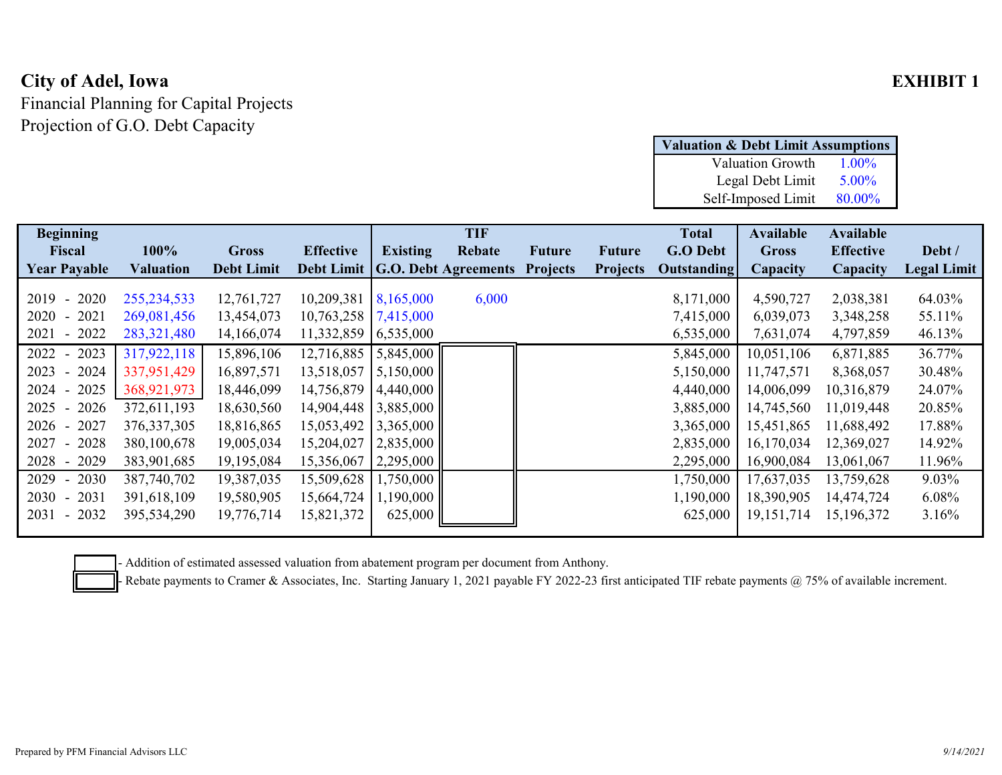# **City of Adel, Iowa EXHIBIT 1**

Financial Planning for Capital Projects Projection of G.O. Debt Capacity

| <b>Valuation &amp; Debt Limit Assumptions</b> |          |  |  |  |  |  |  |  |  |
|-----------------------------------------------|----------|--|--|--|--|--|--|--|--|
| <b>Valuation Growth</b>                       | $1.00\%$ |  |  |  |  |  |  |  |  |
| Legal Debt Limit                              | $5.00\%$ |  |  |  |  |  |  |  |  |
| Self-Imposed Limit                            | 80.00%   |  |  |  |  |  |  |  |  |

| <b>Beginning</b>                         |                  |                   |                        |                        | <b>TIF</b>                      |                 |                 | <b>Total</b>       | <b>Available</b> | <b>Available</b> |                    |
|------------------------------------------|------------------|-------------------|------------------------|------------------------|---------------------------------|-----------------|-----------------|--------------------|------------------|------------------|--------------------|
| <b>Fiscal</b>                            | 100%             | <b>Gross</b>      | <b>Effective</b>       | <b>Existing</b>        | Rebate                          | <b>Future</b>   | <b>Future</b>   | <b>G.O Debt</b>    | <b>Gross</b>     | <b>Effective</b> | Debt /             |
| <b>Year Payable</b>                      | <b>Valuation</b> | <b>Debt Limit</b> |                        |                        | Debt Limit G.O. Debt Agreements | <b>Projects</b> | <b>Projects</b> | <b>Outstanding</b> | Capacity         | Capacity         | <b>Legal Limit</b> |
|                                          |                  |                   |                        |                        |                                 |                 |                 |                    |                  |                  |                    |
| 2020<br>2019<br>$\sim$                   | 255, 234, 533    | 12,761,727        | 10,209,381             | 8,165,000              | 6,000                           |                 |                 | 8,171,000          | 4,590,727        | 2,038,381        | 64.03%             |
| 2021<br>2020<br>$\sim$                   | 269,081,456      | 13,454,073        | $10,763,258$ 7,415,000 |                        |                                 |                 |                 | 7,415,000          | 6,039,073        | 3,348,258        | 55.11%             |
| $-2022$<br>2021                          | 283,321,480      | 14,166,074        | 11,332,859 6,535,000   |                        |                                 |                 |                 | 6,535,000          | 7,631,074        | 4,797,859        | 46.13%             |
| 2022 -<br>2023                           | 317,922,118      | 15,896,106        | $12,716,885$ 5,845,000 |                        |                                 |                 |                 | 5,845,000          | 10,051,106       | 6,871,885        | 36.77%             |
| 2024<br>2023<br>$\sim$                   | 337,951,429      | 16,897,571        | 13,518,057             | 5,150,000              |                                 |                 |                 | 5,150,000          | 11,747,571       | 8,368,057        | 30.48%             |
| 2025<br>2024                             | 368,921,973      | 18,446,099        |                        | 14,756,879 4,440,000   |                                 |                 |                 | 4,440,000          | 14,006,099       | 10,316,879       | 24.07%             |
| 2025<br>2026                             | 372,611,193      | 18,630,560        | 14,904,448 3,885,000   |                        |                                 |                 |                 | 3,885,000          | 14,745,560       | 11,019,448       | 20.85%             |
| 2027<br>$2026 -$                         | 376, 337, 305    | 18,816,865        | 15,053,492             | 3,365,000              |                                 |                 |                 | 3,365,000          | 15,451,865       | 11,688,492       | 17.88%             |
| 2027<br>$-2028$                          | 380,100,678      | 19,005,034        | 15,204,027             | 2,835,000              |                                 |                 |                 | 2,835,000          | 16,170,034       | 12,369,027       | 14.92%             |
| 2029<br>$2028 -$                         | 383,901,685      | 19,195,084        | 15,356,067             | 2,295,000              |                                 |                 |                 | 2,295,000          | 16,900,084       | 13,061,067       | 11.96%             |
| $2029 -$<br>2030                         | 387,740,702      | 19,387,035        |                        | 15,509,628   1,750,000 |                                 |                 |                 | 1,750,000          | 17,637,035       | 13,759,628       | 9.03%              |
| 2031<br>$2030 -$                         | 391,618,109      | 19,580,905        | 15,664,724             | 1,190,000              |                                 |                 |                 | 1,190,000          | 18,390,905       | 14,474,724       | $6.08\%$           |
| 2032<br>2031<br>$\overline{\phantom{a}}$ | 395,534,290      | 19,776,714        | 15,821,372             | 625,000                |                                 |                 |                 | 625,000            | 19, 151, 714     | 15,196,372       | 3.16%              |
|                                          |                  |                   |                        |                        |                                 |                 |                 |                    |                  |                  |                    |

- Addition of estimated assessed valuation from abatement program per document from Anthony.

- Rebate payments to Cramer & Associates, Inc. Starting January 1, 2021 payable FY 2022-23 first anticipated TIF rebate payments @ 75% of available increment.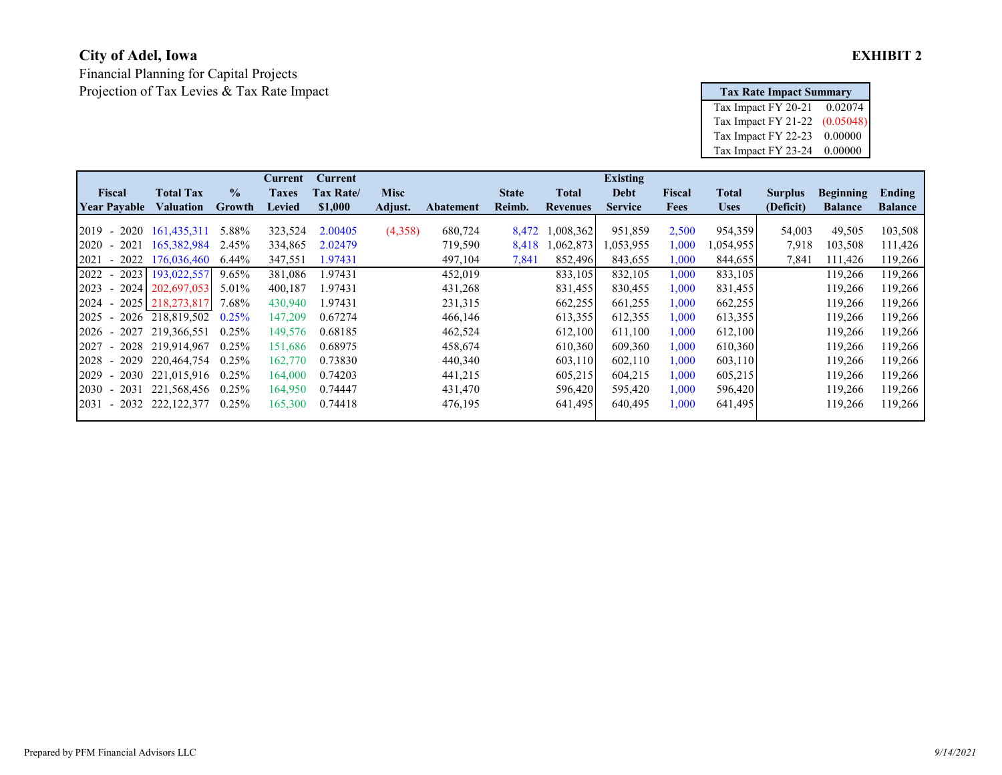# **City of Adel, Iowa EXHIBIT 2**

Financial Planning for Capital Projects Projection of Tax Levies & Tax Rate Impact **Tax Rate Impact Summary**

| <b>Tax Rate Impact Summary</b> |           |
|--------------------------------|-----------|
| Tax Impact FY 20-21            | 0.02074   |
| Tax Impact FY 21-22            | (0.05048) |
| Tax Impact FY 22-23            | 0.00000   |
| Tax Impact FY 23-24            | 0.00000   |

|                         |                  |               | <b>Current</b> | <b>Current</b> |             |                  |              |                 | <b>Existing</b> |             |              |                |                  |                |
|-------------------------|------------------|---------------|----------------|----------------|-------------|------------------|--------------|-----------------|-----------------|-------------|--------------|----------------|------------------|----------------|
| Fiscal                  | <b>Total Tax</b> | $\frac{1}{2}$ | <b>Taxes</b>   | Tax Rate/      | <b>Misc</b> |                  | <b>State</b> | Total           | Debt            | Fiscal      | <b>Total</b> | <b>Surplus</b> | <b>Beginning</b> | Ending         |
| <b>Year Pavable</b>     | <b>Valuation</b> | <b>Growth</b> | <b>Levied</b>  | \$1,000        | Adjust.     | <b>Abatement</b> | Reimb.       | <b>Revenues</b> | <b>Service</b>  | <b>Fees</b> | <b>Uses</b>  | (Deficit)      | <b>Balance</b>   | <b>Balance</b> |
|                         |                  |               |                |                |             |                  |              |                 |                 |             |              |                |                  |                |
| 2019<br>$-2020$         | 161,435,311      | 5.88%         | 323,524        | 2.00405        | (4,358)     | 680,724          | 8,472        | .008,362        | 951,859         | 2,500       | 954,359      | 54,003         | 49,505           | 103,508        |
| 2020<br>2021<br>$\sim$  | 165,382,984      | 2.45%         | 334,865        | 2.02479        |             | 719,590          | 8,418        | .062,873        | 1,053,955       | 0.000       | 1,054,955    | 7,918          | 103,508          | 111,426        |
| 2021<br>$-2022$         | 176,036,460      | $6.44\%$      | 347,551        | 1.97431        |             | 497,104          | 7,841        | 852,496         | 843,655         | 000.1       | 844,655      | 7,841          | 111,426          | 119,266        |
| 2022<br>$-2023$         | 193,022,557      | $9.65\%$      | 381,086        | 1.97431        |             | 452,019          |              | 833,105         | 832,105         | 1,000       | 833,105      |                | 119,266          | 119,266        |
| 2023 - 2024 202,697,053 |                  | 5.01%         | 400,187        | 1.97431        |             | 431,268          |              | 831,455         | 830,455         | 1,000       | 831,455      |                | 119,266          | 119,266        |
| 2024 - 2025 218,273,817 |                  | 7.68%         | 430,940        | 1.97431        |             | 231,315          |              | 662,255         | 661,255         | 000.1       | 662,255      |                | 119,266          | 119,266        |
| 2025<br>$-2026$         | 218,819,502      | 0.25%         | 147,209        | 0.67274        |             | 466,146          |              | 613,355         | 612,355         | 1,000       | 613,355      |                | 119,266          | 119,266        |
| $-2027$<br>2026         | 219,366,551      | 0.25%         | 149,576        | 0.68185        |             | 462,524          |              | 612,100         | 611,100         | $0.000$ ,   | 612,100      |                | 119,266          | 119,266        |
| 2027<br>$-2028$         | 219,914,967      | 0.25%         | 151,686        | 0.68975        |             | 458,674          |              | 610,360         | 609,360         | 000.1       | 610,360      |                | 119,266          | 119,266        |
| $-2029$<br>2028         | 220,464,754      | 0.25%         | 162,770        | 0.73830        |             | 440,340          |              | 603,110         | 602,110         | 1,000       | 603,110      |                | 119,266          | 119,266        |
| 2029<br>$-2030$         | 221,015,916      | 0.25%         | 164,000        | 0.74203        |             | 441,215          |              | 605,215         | 604,215         | 1,000       | 605,215      |                | 119,266          | 119,266        |
| 2030<br>$-2031$         | 221,568,456      | 0.25%         | 164,950        | 0.74447        |             | 431,470          |              | 596,420         | 595,420         | $0.000$ ,   | 596,420      |                | 119,266          | 119,266        |
| 2031<br>$-2032$         | 222, 122, 377    | 0.25%         | 165,300        | 0.74418        |             | 476,195          |              | 641,495         | 640,495         | 1,000       | 641,495      |                | 119,266          | 119,266        |